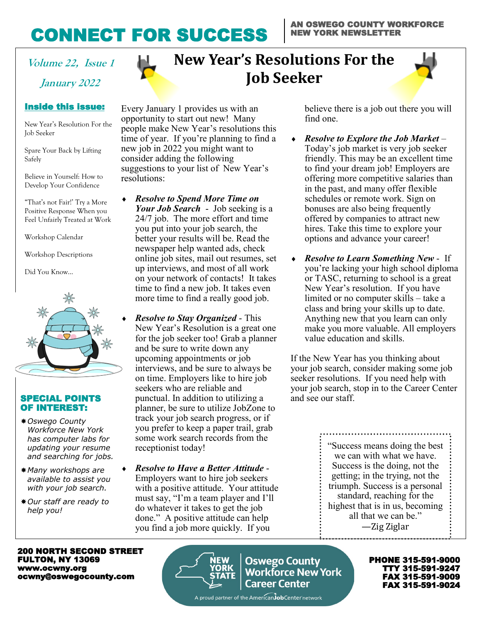## CONNECT FOR SUCCESS

**January 2022**

#### Inside this issue: Inside this issue:

New Year's Resolution For the Job Seeker

Spare Your Back by Lifting Safely

Believe in Yourself: How to Develop Your Confidence

"That's not Fair!' Try a More Feel Unfairly Treated at Work Positive Response When you

Workshop Calendar Calendar

Workshop Descriptions Descriptions

Did You Know…



#### SPECIAL POINTS OF INTEREST:

- *Oswego County Workforce New York has computer labs for updating your resume and searching for jobs.*
- *Many workshops are available to assist you with your job search.*
- *Our staff are ready to help you!*



Every January 1 provides us with an opportunity to start out new! Many people make New Year's resolutions this time of year. If you're planning to find a new job in 2022 you might want to consider adding the following suggestions to your list of New Year's resolutions:

- *Resolve to Spend More Time on Your Job Search* - Job seeking is a 24/7 job. The more effort and time you put into your job search, the better your results will be. Read the newspaper help wanted ads, check online job sites, mail out resumes, set up interviews, and most of all work on your network of contacts! It takes time to find a new job. It takes even more time to find a really good job.
	- *Resolve to Stay Organized* This New Year's Resolution is a great one for the job seeker too! Grab a planner and be sure to write down any upcoming appointments or job interviews, and be sure to always be on time. Employers like to hire job seekers who are reliable and punctual. In addition to utilizing a planner, be sure to utilize JobZone to track your job search progress, or if you prefer to keep a paper trail, grab some work search records from the receptionist today!
- *Resolve to Have a Better Attitude* Employers want to hire job seekers with a positive attitude. Your attitude must say, "I'm a team player and I'll do whatever it takes to get the job done." A positive attitude can help you find a job more quickly. If you

believe there is a job out there you will find one.

- *Resolve to Explore the Job Market* Today's job market is very job seeker friendly. This may be an excellent time to find your dream job! Employers are offering more competitive salaries than in the past, and many offer flexible schedules or remote work. Sign on bonuses are also being frequently offered by companies to attract new hires. Take this time to explore your options and advance your career!
- *Resolve to Learn Something New* If you're lacking your high school diploma or TASC, returning to school is a great New Year's resolution. If you have limited or no computer skills – take a class and bring your skills up to date. Anything new that you learn can only make you more valuable. All employers value education and skills.

If the New Year has you thinking about your job search, consider making some job seeker resolutions. If you need help with your job search, stop in to the Career Center and see our staff.

> "Success means doing the best we can with what we have. Success is the doing, not the getting; in the trying, not the triumph. Success is a personal standard, reaching for the highest that is in us, becoming all that we can be." —Zig Ziglar

200 NORTH SECOND STREET FULTON, NY 13069 www.ocwny.org ocwny@oswegocounty.com



**Oswego County Oswego County<br>Workforce New York Career Center** 

PHONE 315-591-9000 TTY 315-591-9247 FAX 315-591-9009 FAX 315-591-9024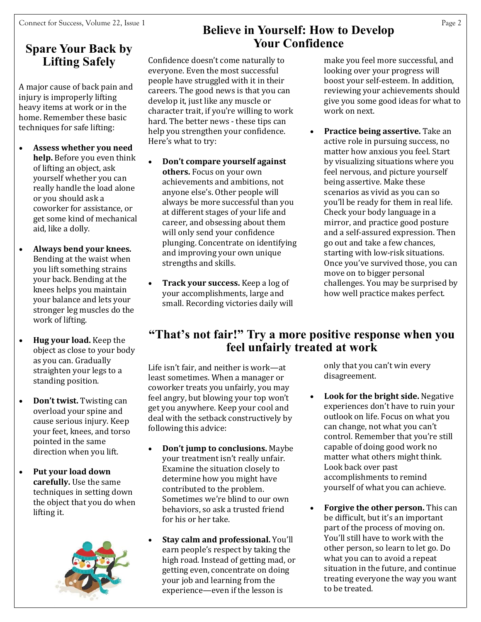### **Spare Your Back by Lifting Safely**

A major cause of back pain and injury is improperly lifting heavy items at work or in the home. Remember these basic techniques for safe lifting:

- **Assess whether you need help.** Before you even think of lifting an object, ask yourself whether you can really handle the load alone or you should ask a coworker for assistance, or get some kind of mechanical aid, like a dolly.
- **Always bend your knees.** Bending at the waist when you lift something strains your back. Bending at the knees helps you maintain your balance and lets your stronger leg muscles do the work of lifting.
- **Hug your load.** Keep the object as close to your body as you can. Gradually straighten your legs to a standing position.
- **Don't twist.** Twisting can overload your spine and cause serious injury. Keep your feet, knees, and torso pointed in the same direction when you lift.
- **Put your load down carefully.** Use the same techniques in setting down the object that you do when lifting it.



#### **Believe in Yourself: How to Develop Your Confidence**

Confidence doesn't come naturally to everyone. Even the most successful people have struggled with it in their careers. The good news is that you can develop it, just like any muscle or character trait, if you're willing to work hard. The better news - these tips can help you strengthen your confidence. Here's what to try:

- **Don't compare yourself against others.** Focus on your own achievements and ambitions, not anyone else's. Other people will always be more successful than you at different stages of your life and career, and obsessing about them will only send your confidence plunging. Concentrate on identifying and improving your own unique strengths and skills.
- **Track your success.** Keep a log of your accomplishments, large and small. Recording victories daily will

make you feel more successful, and looking over your progress will boost your self-esteem. In addition, reviewing your achievements should give you some good ideas for what to work on next.

• **Practice being assertive.** Take an active role in pursuing success, no matter how anxious you feel. Start by visualizing situations where you feel nervous, and picture yourself being assertive. Make these scenarios as vivid as you can so you'll be ready for them in real life. Check your body language in a mirror, and practice good posture and a self-assured expression. Then go out and take a few chances, starting with low-risk situations. Once you've survived those, you can move on to bigger personal challenges. You may be surprised by how well practice makes perfect.

#### **"That's not fair!" Try a more positive response when you feel unfairly treated at work**

Life isn't fair, and neither is work—at least sometimes. When a manager or coworker treats you unfairly, you may feel angry, but blowing your top won't get you anywhere. Keep your cool and deal with the setback constructively by following this advice:

- **Don't jump to conclusions.** Maybe your treatment isn't really unfair. Examine the situation closely to determine how you might have contributed to the problem. Sometimes we're blind to our own behaviors, so ask a trusted friend for his or her take.
- **Stay calm and professional.** You'll earn people's respect by taking the high road. Instead of getting mad, or getting even, concentrate on doing your job and learning from the experience—even if the lesson is

only that you can't win every disagreement.

- **Look for the bright side.** Negative experiences don't have to ruin your outlook on life. Focus on what you can change, not what you can't control. Remember that you're still capable of doing good work no matter what others might think. Look back over past accomplishments to remind yourself of what you can achieve.
- **Forgive the other person.** This can be difficult, but it's an important part of the process of moving on. You'll still have to work with the other person, so learn to let go. Do what you can to avoid a repeat situation in the future, and continue treating everyone the way you want to be treated.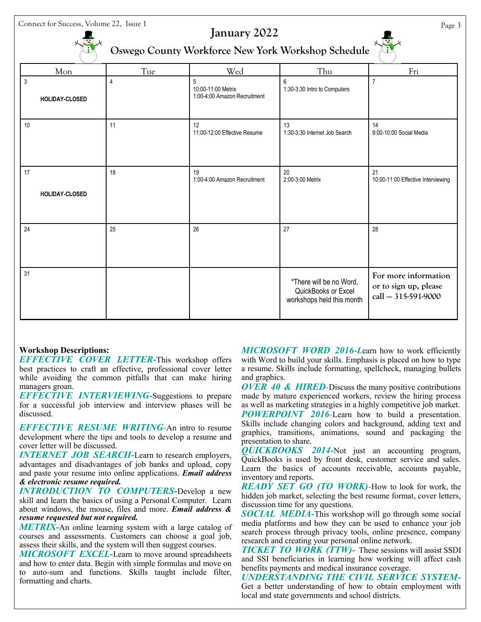Connect for Success, Volume 22, Issue 1 Page 3

#### **January 2022**

**Oswego County Workforce New York Workshop Schedule**

| Mon                              | Tue            | Wed                                                     | Thu                                                                         | Fri                                                                  |
|----------------------------------|----------------|---------------------------------------------------------|-----------------------------------------------------------------------------|----------------------------------------------------------------------|
| $\mathfrak{Z}$<br>HOLIDAY-CLOSED | $\overline{4}$ | 5<br>10:00-11:00 Metrix<br>1:00-4:00 Amazon Recruitment | 6<br>1:30-3:30 Intro to Computers                                           | $\overline{7}$                                                       |
| 10                               | 11             | 12<br>11:00-12:00 Effective Resume                      | 13<br>1:30-3:30 Internet Job Search                                         | 14<br>9:00-10:00 Social Media                                        |
| 17                               | 18             | 19<br>1:00-4:00 Amazon Recruitment                      | 20<br>2:00-3:00 Metrix                                                      | 21<br>10:00-11:00 Effective Interviewing                             |
| <b>HOLIDAY-CLOSED</b>            |                |                                                         |                                                                             |                                                                      |
| 24                               | 25             | 26                                                      | 27                                                                          | 28                                                                   |
| 31                               |                |                                                         | *There will be no Word,<br>QuickBooks or Excel<br>workshops held this month | For more information<br>or to sign up, please<br>call - 315-591-9000 |

#### **Workshop Descriptions:**

*EFFECTIVE COVER LETTER***-**This workshop offers best practices to craft an effective, professional cover letter while avoiding the common pitfalls that can make hiring managers groan.

*EFFECTIVE INTERVIEWING-*Suggestions to prepare for a successful job interview and interview phases will be discussed.

*EFFECTIVE RESUME WRITING-*An intro to resume development where the tips and tools to develop a resume and cover letter will be discussed.

*INTERNET JOB SEARCH-*Learn to research employers, advantages and disadvantages of job banks and upload, copy and paste your resume into online applications. *Email address & electronic resume required.*

*INTRODUCTION TO COMPUTERS-*Develop a new skill and learn the basics of using a Personal Computer. Learn about windows, the mouse, files and more. *Email address & resume requested but not required.* 

*METRIX-*An online learning system with a large catalog of courses and assessments. Customers can choose a goal job, assess their skills, and the system will then suggest courses.

*MICROSOFT EXCEL-*Learn to move around spreadsheets and how to enter data. Begin with simple formulas and move on to auto-sum and functions. Skills taught include filter, formatting and charts.

*MICROSOFT WORD 2016-L*earn how to work efficiently with Word to build your skills. Emphasis is placed on how to type a resume. Skills include formatting, spellcheck, managing bullets and graphics.

*OVER 40 & HIRED-*Discuss the many positive contributions made by mature experienced workers, review the hiring process as well as marketing strategies in a highly competitive job market. *POWERPOINT 2016-*Learn how to build a presentation. Skills include changing colors and background, adding text and graphics, transitions, animations, sound and packaging the presentation to share.

*QUICKBOOKS 2014-*Not just an accounting program, QuickBooks is used by front desk, customer service and sales. Learn the basics of accounts receivable, accounts payable, inventory and reports.

*READY SET GO (TO WORK)-*How to look for work, the hidden job market, selecting the best resume format, cover letters, discussion time for any questions.

*SOCIAL MEDIA-*This workshop will go through some social media platforms and how they can be used to enhance your job search process through privacy tools, online presence, company research and creating your personal online network.

*TICKET TO WORK (TTW)-* These sessions will assist SSDI and SSI beneficiaries in learning how working will affect cash benefits payments and medical insurance coverage.

*UNDERSTANDING THE CIVIL SERVICE SYSTEM-*Get a better understanding of how to obtain employment with local and state governments and school districts.